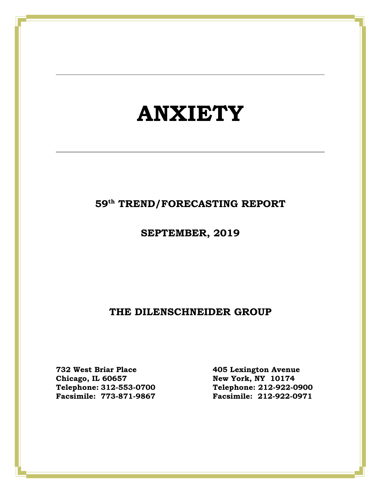# **ANXIETY**

# **59th TREND/FORECASTING REPORT**

**SEPTEMBER, 2019**

**THE DILENSCHNEIDER GROUP**

**732 West Briar Place 405 Lexington Avenue Telephone: 312-553-0700 Telephone: 212-922-0900 Facsimile: 773-871-9867 Facsimile: 212-922-0971**

**New York, NY 10174<br>Telephone: 212-922-0900**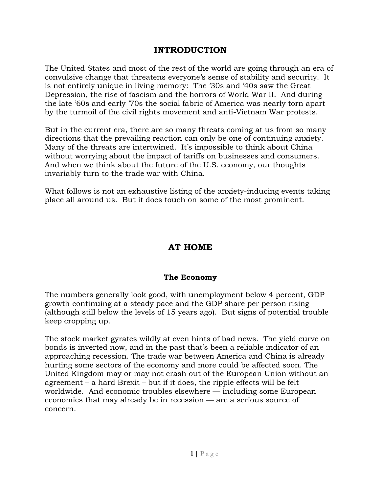# **INTRODUCTION**

The United States and most of the rest of the world are going through an era of convulsive change that threatens everyone's sense of stability and security. It is not entirely unique in living memory: The '30s and '40s saw the Great Depression, the rise of fascism and the horrors of World War II. And during the late '60s and early '70s the social fabric of America was nearly torn apart by the turmoil of the civil rights movement and anti-Vietnam War protests.

But in the current era, there are so many threats coming at us from so many directions that the prevailing reaction can only be one of continuing anxiety. Many of the threats are intertwined. It's impossible to think about China without worrying about the impact of tariffs on businesses and consumers. And when we think about the future of the U.S. economy, our thoughts invariably turn to the trade war with China.

What follows is not an exhaustive listing of the anxiety-inducing events taking place all around us. But it does touch on some of the most prominent.

# **AT HOME**

# **The Economy**

The numbers generally look good, with unemployment below 4 percent, GDP growth continuing at a steady pace and the GDP share per person rising (although still below the levels of 15 years ago). But signs of potential trouble keep cropping up.

The stock market gyrates wildly at even hints of bad news. The yield curve on bonds is inverted now, and in the past that's been a reliable indicator of an approaching recession. The trade war between America and China is already hurting some sectors of the economy and more could be affected soon. The United Kingdom may or may not crash out of the European Union without an agreement – a hard Brexit – but if it does, the ripple effects will be felt worldwide. And economic troubles elsewhere — including some European economies that may already be in recession — are a serious source of concern.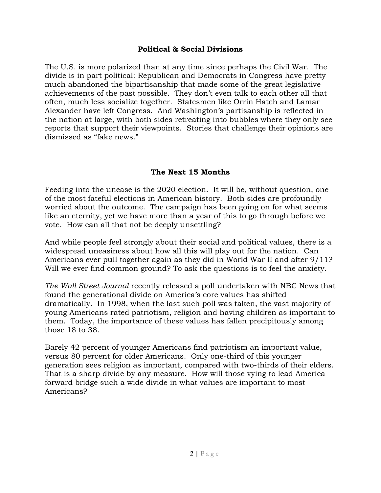## **Political & Social Divisions**

The U.S. is more polarized than at any time since perhaps the Civil War. The divide is in part political: Republican and Democrats in Congress have pretty much abandoned the bipartisanship that made some of the great legislative achievements of the past possible. They don't even talk to each other all that often, much less socialize together. Statesmen like Orrin Hatch and Lamar Alexander have left Congress. And Washington's partisanship is reflected in the nation at large, with both sides retreating into bubbles where they only see reports that support their viewpoints. Stories that challenge their opinions are dismissed as "fake news."

## **The Next 15 Months**

Feeding into the unease is the 2020 election. It will be, without question, one of the most fateful elections in American history. Both sides are profoundly worried about the outcome. The campaign has been going on for what seems like an eternity, yet we have more than a year of this to go through before we vote. How can all that not be deeply unsettling?

And while people feel strongly about their social and political values, there is a widespread uneasiness about how all this will play out for the nation. Can Americans ever pull together again as they did in World War II and after 9/11? Will we ever find common ground? To ask the questions is to feel the anxiety.

*The Wall Street Journal* recently released a poll undertaken with NBC News that found the generational divide on America's core values has shifted dramatically. In 1998, when the last such poll was taken, the vast majority of young Americans rated patriotism, religion and having children as important to them. Today, the importance of these values has fallen precipitously among those 18 to 38.

Barely 42 percent of younger Americans find patriotism an important value, versus 80 percent for older Americans. Only one-third of this younger generation sees religion as important, compared with two-thirds of their elders. That is a sharp divide by any measure. How will those vying to lead America forward bridge such a wide divide in what values are important to most Americans?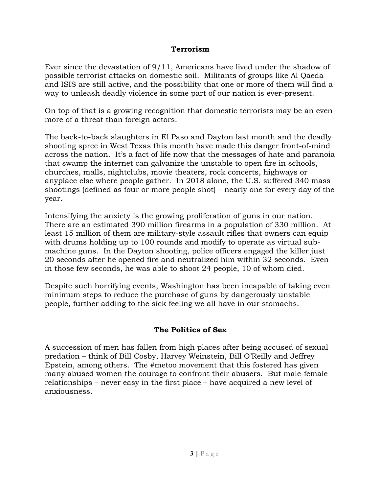#### **Terrorism**

Ever since the devastation of 9/11, Americans have lived under the shadow of possible terrorist attacks on domestic soil. Militants of groups like Al Qaeda and ISIS are still active, and the possibility that one or more of them will find a way to unleash deadly violence in some part of our nation is ever-present.

On top of that is a growing recognition that domestic terrorists may be an even more of a threat than foreign actors.

The back-to-back slaughters in El Paso and Dayton last month and the deadly shooting spree in West Texas this month have made this danger front-of-mind across the nation. It's a fact of life now that the messages of hate and paranoia that swamp the internet can galvanize the unstable to open fire in schools, churches, malls, nightclubs, movie theaters, rock concerts, highways or anyplace else where people gather. In 2018 alone, the U.S. suffered 340 mass shootings (defined as four or more people shot) – nearly one for every day of the year.

Intensifying the anxiety is the growing proliferation of guns in our nation. There are an estimated 390 million firearms in a population of 330 million. At least 15 million of them are military-style assault rifles that owners can equip with drums holding up to 100 rounds and modify to operate as virtual submachine guns. In the Dayton shooting, police officers engaged the killer just 20 seconds after he opened fire and neutralized him within 32 seconds. Even in those few seconds, he was able to shoot 24 people, 10 of whom died.

Despite such horrifying events, Washington has been incapable of taking even minimum steps to reduce the purchase of guns by dangerously unstable people, further adding to the sick feeling we all have in our stomachs.

# **The Politics of Sex**

A succession of men has fallen from high places after being accused of sexual predation – think of Bill Cosby, Harvey Weinstein, Bill O'Reilly and Jeffrey Epstein, among others. The #metoo movement that this fostered has given many abused women the courage to confront their abusers. But male-female relationships – never easy in the first place – have acquired a new level of anxiousness.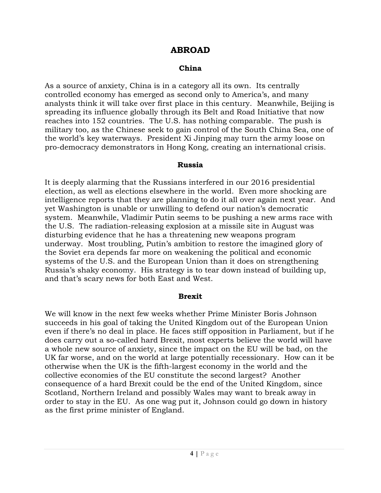# **ABROAD**

#### **China**

As a source of anxiety, China is in a category all its own. Its centrally controlled economy has emerged as second only to America's, and many analysts think it will take over first place in this century. Meanwhile, Beijing is spreading its influence globally through its Belt and Road Initiative that now reaches into 152 countries. The U.S. has nothing comparable. The push is military too, as the Chinese seek to gain control of the South China Sea, one of the world's key waterways. President Xi Jinping may turn the army loose on pro-democracy demonstrators in Hong Kong, creating an international crisis.

#### **Russia**

It is deeply alarming that the Russians interfered in our 2016 presidential election, as well as elections elsewhere in the world. Even more shocking are intelligence reports that they are planning to do it all over again next year. And yet Washington is unable or unwilling to defend our nation's democratic system. Meanwhile, Vladimir Putin seems to be pushing a new arms race with the U.S. The radiation-releasing explosion at a missile site in August was disturbing evidence that he has a threatening new weapons program underway. Most troubling, Putin's ambition to restore the imagined glory of the Soviet era depends far more on weakening the political and economic systems of the U.S. and the European Union than it does on strengthening Russia's shaky economy. His strategy is to tear down instead of building up, and that's scary news for both East and West.

#### **Brexit**

We will know in the next few weeks whether Prime Minister Boris Johnson succeeds in his goal of taking the United Kingdom out of the European Union even if there's no deal in place. He faces stiff opposition in Parliament, but if he does carry out a so-called hard Brexit, most experts believe the world will have a whole new source of anxiety, since the impact on the EU will be bad, on the UK far worse, and on the world at large potentially recessionary. How can it be otherwise when the UK is the fifth-largest economy in the world and the collective economies of the EU constitute the second largest? Another consequence of a hard Brexit could be the end of the United Kingdom, since Scotland, Northern Ireland and possibly Wales may want to break away in order to stay in the EU. As one wag put it, Johnson could go down in history as the first prime minister of England.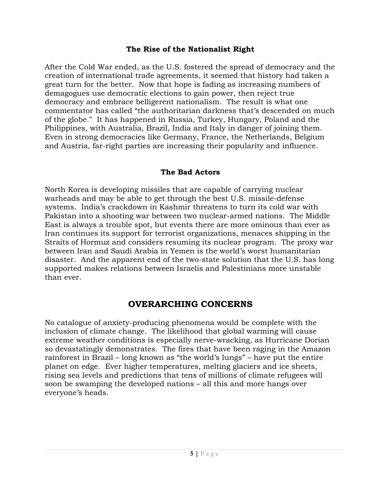## **The Rise of the Nationalist Right**

After the Cold War ended, as the U.S. fostered the spread of democracy and the creation of international trade agreements, it seemed that history had taken a great turn for the better. Now that hope is fading as increasing numbers of demagogues use democratic elections to gain power, then reject true democracy and embrace belligerent nationalism. The result is what one commentator has called "the authoritarian darkness that's descended on much of the globe." It has happened in Russia, Turkey, Hungary, Poland and the Philippines, with Australia, Brazil, India and Italy in danger of joining them. Even in strong democracies like Germany, France, the Netherlands, Belgium and Austria, far-right parties are increasing their popularity and influence.

#### **The Bad Actors**

North Korea is developing missiles that are capable of carrying nuclear warheads and may be able to get through the best U.S. missile-defense systems. India's crackdown in Kashmir threatens to turn its cold war with Pakistan into a shooting war between two nuclear-armed nations. The Middle East is always a trouble spot, but events there are more ominous than ever as Iran continues its support for terrorist organizations, menaces shipping in the Straits of Hormuz and considers resuming its nuclear program. The proxy war between Iran and Saudi Arabia in Yemen is the world's worst humanitarian disaster. And the apparent end of the two-state solution that the U.S. has long supported makes relations between Israelis and Palestinians more unstable than ever.

# **OVERARCHING CONCERNS**

No catalogue of anxiety-producing phenomena would be complete with the inclusion of climate change. The likelihood that global warming will cause extreme weather conditions is especially nerve-wracking, as Hurricane Dorian so devastatingly demonstrates. The fires that have been raging in the Amazon rainforest in Brazil – long known as "the world's lungs" – have put the entire planet on edge. Ever higher temperatures, melting glaciers and ice sheets, rising sea levels and predictions that tens of millions of climate refugees will soon be swamping the developed nations – all this and more hangs over everyone's heads.